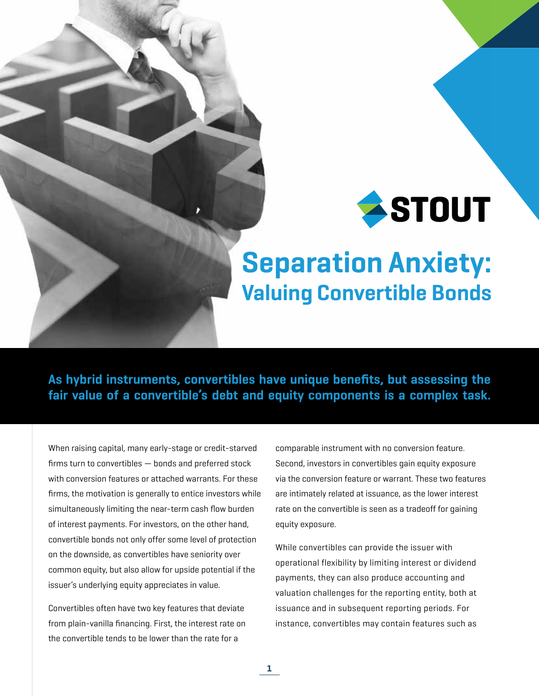

# Separation Anxiety: Valuing Convertible Bonds

As hybrid instruments, convertibles have unique benefits, but assessing the fair value of a convertible's debt and equity components is a complex task.

1

When raising capital, many early-stage or credit-starved firms turn to convertibles — bonds and preferred stock with conversion features or attached warrants. For these firms, the motivation is generally to entice investors while simultaneously limiting the near-term cash flow burden of interest payments. For investors, on the other hand, convertible bonds not only offer some level of protection on the downside, as convertibles have seniority over common equity, but also allow for upside potential if the issuer's underlying equity appreciates in value.

Convertibles often have two key features that deviate from plain-vanilla financing. First, the interest rate on the convertible tends to be lower than the rate for a

comparable instrument with no conversion feature. Second, investors in convertibles gain equity exposure via the conversion feature or warrant. These two features are intimately related at issuance, as the lower interest rate on the convertible is seen as a tradeoff for gaining equity exposure.

While convertibles can provide the issuer with operational flexibility by limiting interest or dividend payments, they can also produce accounting and valuation challenges for the reporting entity, both at issuance and in subsequent reporting periods. For instance, convertibles may contain features such as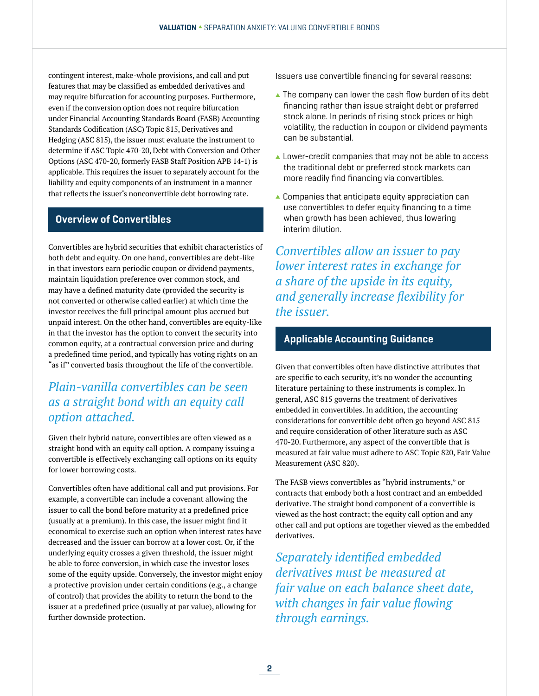contingent interest, make-whole provisions, and call and put features that may be classified as embedded derivatives and may require bifurcation for accounting purposes. Furthermore, even if the conversion option does not require bifurcation under Financial Accounting Standards Board (FASB) Accounting Standards Codification (ASC) Topic 815, Derivatives and Hedging (ASC 815), the issuer must evaluate the instrument to determine if ASC Topic 470-20, Debt with Conversion and Other Options (ASC 470-20, formerly FASB Staff Position APB 14-1) is applicable. This requires the issuer to separately account for the liability and equity components of an instrument in a manner that reflects the issuer's nonconvertible debt borrowing rate.

## Overview of Convertibles

Convertibles are hybrid securities that exhibit characteristics of both debt and equity. On one hand, convertibles are debt-like in that investors earn periodic coupon or dividend payments, maintain liquidation preference over common stock, and may have a defined maturity date (provided the security is not converted or otherwise called earlier) at which time the investor receives the full principal amount plus accrued but unpaid interest. On the other hand, convertibles are equity-like in that the investor has the option to convert the security into common equity, at a contractual conversion price and during a predefined time period, and typically has voting rights on an "as if" converted basis throughout the life of the convertible.

# *Plain-vanilla convertibles can be seen as a straight bond with an equity call option attached.*

Given their hybrid nature, convertibles are often viewed as a straight bond with an equity call option. A company issuing a convertible is effectively exchanging call options on its equity for lower borrowing costs.

Convertibles often have additional call and put provisions. For example, a convertible can include a covenant allowing the issuer to call the bond before maturity at a predefined price (usually at a premium). In this case, the issuer might find it economical to exercise such an option when interest rates have decreased and the issuer can borrow at a lower cost. Or, if the underlying equity crosses a given threshold, the issuer might be able to force conversion, in which case the investor loses some of the equity upside. Conversely, the investor might enjoy a protective provision under certain conditions (e.g., a change of control) that provides the ability to return the bond to the issuer at a predefined price (usually at par value), allowing for further downside protection.

Issuers use convertible financing for several reasons:

- $\blacktriangle$  The company can lower the cash flow burden of its debt financing rather than issue straight debt or preferred stock alone. In periods of rising stock prices or high volatility, the reduction in coupon or dividend payments can be substantial.
- $\blacktriangle$  Lower-credit companies that may not be able to access the traditional debt or preferred stock markets can more readily find financing via convertibles.
- $\triangle$  Companies that anticipate equity appreciation can use convertibles to defer equity financing to a time when growth has been achieved, thus lowering interim dilution.

*Convertibles allow an issuer to pay lower interest rates in exchange for a share of the upside in its equity, and generally increase flexibility for the issuer.*

#### Applicable Accounting Guidance

Given that convertibles often have distinctive attributes that are specific to each security, it's no wonder the accounting literature pertaining to these instruments is complex. In general, ASC 815 governs the treatment of derivatives embedded in convertibles. In addition, the accounting considerations for convertible debt often go beyond ASC 815 and require consideration of other literature such as ASC 470-20. Furthermore, any aspect of the convertible that is measured at fair value must adhere to ASC Topic 820, Fair Value Measurement (ASC 820).

The FASB views convertibles as "hybrid instruments," or contracts that embody both a host contract and an embedded derivative. The straight bond component of a convertible is viewed as the host contract; the equity call option and any other call and put options are together viewed as the embedded derivatives.

*Separately identified embedded derivatives must be measured at fair value on each balance sheet date, with changes in fair value flowing through earnings.*

2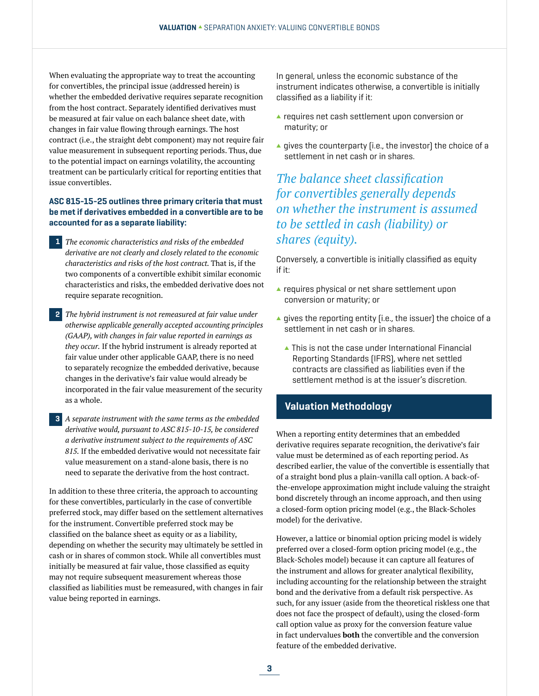When evaluating the appropriate way to treat the accounting for convertibles, the principal issue (addressed herein) is whether the embedded derivative requires separate recognition from the host contract. Separately identified derivatives must be measured at fair value on each balance sheet date, with changes in fair value flowing through earnings. The host contract (i.e., the straight debt component) may not require fair value measurement in subsequent reporting periods. Thus, due to the potential impact on earnings volatility, the accounting treatment can be particularly critical for reporting entities that issue convertibles.

#### ASC 815-15-25 outlines three primary criteria that must be met if derivatives embedded in a convertible are to be accounted for as a separate liability:

- *The economic characteristics and risks of the embedded derivative are not clearly and closely related to the economic characteristics and risks of the host contract.* That is, if the two components of a convertible exhibit similar economic characteristics and risks, the embedded derivative does not require separate recognition. 1
- *The hybrid instrument is not remeasured at fair value under*  2 *otherwise applicable generally accepted accounting principles (GAAP), with changes in fair value reported in earnings as they occur.* If the hybrid instrument is already reported at fair value under other applicable GAAP, there is no need to separately recognize the embedded derivative, because changes in the derivative's fair value would already be incorporated in the fair value measurement of the security as a whole.
- *A separate instrument with the same terms as the embedded*  3*derivative would, pursuant to ASC 815-10-15, be considered a derivative instrument subject to the requirements of ASC 815.* If the embedded derivative would not necessitate fair value measurement on a stand-alone basis, there is no need to separate the derivative from the host contract.

In addition to these three criteria, the approach to accounting for these convertibles, particularly in the case of convertible preferred stock, may differ based on the settlement alternatives for the instrument. Convertible preferred stock may be classified on the balance sheet as equity or as a liability, depending on whether the security may ultimately be settled in cash or in shares of common stock. While all convertibles must initially be measured at fair value, those classified as equity may not require subsequent measurement whereas those classified as liabilities must be remeasured, with changes in fair value being reported in earnings.

In general, unless the economic substance of the instrument indicates otherwise, a convertible is initially classified as a liability if it:

- $\blacktriangle$  requires net cash settlement upon conversion or maturity; or
- $\blacktriangle$  gives the counterparty (i.e., the investor) the choice of a settlement in net cash or in shares.

*The balance sheet classification for convertibles generally depends on whether the instrument is assumed to be settled in cash (liability) or shares (equity).*

Conversely, a convertible is initially classified as equity if it:

- $\triangle$  requires physical or net share settlement upon conversion or maturity; or
- $\blacktriangle$  gives the reporting entity (i.e., the issuer) the choice of a settlement in net cash or in shares.
	- $\blacktriangle$  This is not the case under International Financial Reporting Standards (IFRS), where net settled contracts are classified as liabilities even if the settlement method is at the issuer's discretion.

### Valuation Methodology

When a reporting entity determines that an embedded derivative requires separate recognition, the derivative's fair value must be determined as of each reporting period. As described earlier, the value of the convertible is essentially that of a straight bond plus a plain-vanilla call option. A back-ofthe-envelope approximation might include valuing the straight bond discretely through an income approach, and then using a closed-form option pricing model (e.g., the Black-Scholes model) for the derivative.

However, a lattice or binomial option pricing model is widely preferred over a closed-form option pricing model (e.g., the Black-Scholes model) because it can capture all features of the instrument and allows for greater analytical flexibility, including accounting for the relationship between the straight bond and the derivative from a default risk perspective. As such, for any issuer (aside from the theoretical riskless one that does not face the prospect of default), using the closed-form call option value as proxy for the conversion feature value in fact undervalues **both** the convertible and the conversion feature of the embedded derivative.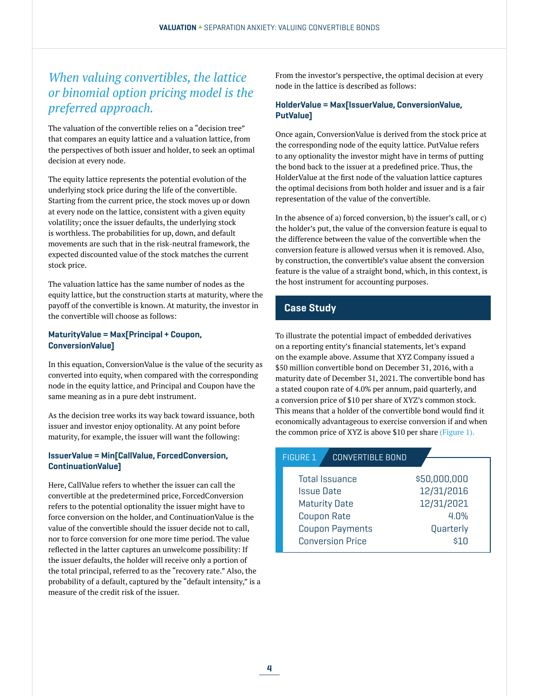# *When valuing convertibles, the lattice or binomial option pricing model is the preferred approach.*

The valuation of the convertible relies on a "decision tree" that compares an equity lattice and a valuation lattice, from the perspectives of both issuer and holder, to seek an optimal decision at every node.

The equity lattice represents the potential evolution of the underlying stock price during the life of the convertible. Starting from the current price, the stock moves up or down at every node on the lattice, consistent with a given equity volatility; once the issuer defaults, the underlying stock is worthless. The probabilities for up, down, and default movements are such that in the risk-neutral framework, the expected discounted value of the stock matches the current stock price.

The valuation lattice has the same number of nodes as the equity lattice, but the construction starts at maturity, where the payoff of the convertible is known. At maturity, the investor in the convertible will choose as follows:

#### MaturityValue = Max[Principal + Coupon, ConversionValue]

In this equation, ConversionValue is the value of the security as converted into equity, when compared with the corresponding node in the equity lattice, and Principal and Coupon have the same meaning as in a pure debt instrument.

As the decision tree works its way back toward issuance, both issuer and investor enjoy optionality. At any point before maturity, for example, the issuer will want the following:

#### IssuerValue = Min[CallValue, ForcedConversion, ContinuationValue]

Here, CallValue refers to whether the issuer can call the convertible at the predetermined price, ForcedConversion refers to the potential optionality the issuer might have to force conversion on the holder, and ContinuationValue is the value of the convertible should the issuer decide not to call, nor to force conversion for one more time period. The value reflected in the latter captures an unwelcome possibility: If the issuer defaults, the holder will receive only a portion of the total principal, referred to as the "recovery rate." Also, the probability of a default, captured by the "default intensity," is a measure of the credit risk of the issuer.

From the investor's perspective, the optimal decision at every node in the lattice is described as follows:

#### HolderValue = Max[IssuerValue, ConversionValue, PutValue]

Once again, ConversionValue is derived from the stock price at the corresponding node of the equity lattice. PutValue refers to any optionality the investor might have in terms of putting the bond back to the issuer at a predefined price. Thus, the HolderValue at the first node of the valuation lattice captures the optimal decisions from both holder and issuer and is a fair representation of the value of the convertible.

In the absence of a) forced conversion, b) the issuer's call, or c) the holder's put, the value of the conversion feature is equal to the difference between the value of the convertible when the conversion feature is allowed versus when it is removed. Also, by construction, the convertible's value absent the conversion feature is the value of a straight bond, which, in this context, is the host instrument for accounting purposes.

## Case Study

To illustrate the potential impact of embedded derivatives on a reporting entity's financial statements, let's expand on the example above. Assume that XYZ Company issued a \$50 million convertible bond on December 31, 2016, with a maturity date of December 31, 2021. The convertible bond has a stated coupon rate of 4.0% per annum, paid quarterly, and a conversion price of \$10 per share of XYZ's common stock. This means that a holder of the convertible bond would find it economically advantageous to exercise conversion if and when the common price of XYZ is above \$10 per share (Figure 1).

| <b>CONVERTIBLE BOND</b><br><b>FIGURE 1</b> |              |
|--------------------------------------------|--------------|
|                                            |              |
| <b>Total Issuance</b>                      | \$50,000,000 |
| <b>Issue Date</b>                          | 12/31/2016   |
| <b>Maturity Date</b>                       | 12/31/2021   |
| <b>Coupon Rate</b>                         | 4.0%         |
| <b>Coupon Payments</b>                     | Quarterly    |
| <b>Conversion Price</b>                    | \$1 N        |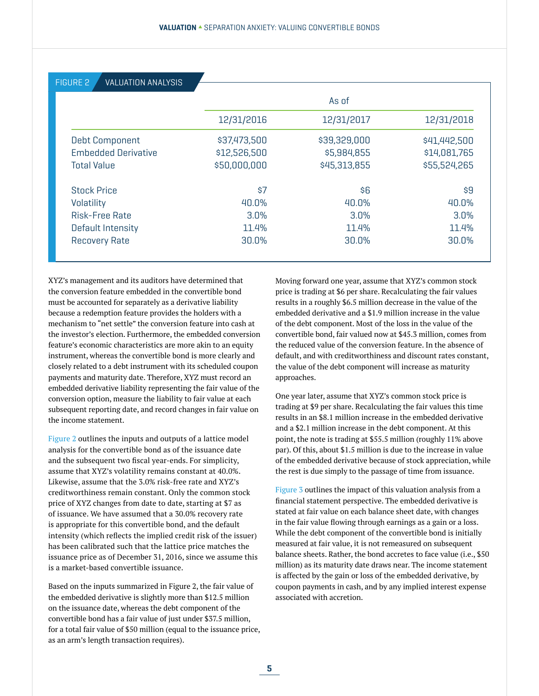| <b>VALUATION ANALYSIS</b><br><b>FIGURE 2</b> |              |              |              |
|----------------------------------------------|--------------|--------------|--------------|
|                                              | As of        |              |              |
|                                              | 12/31/2016   | 12/31/2017   | 12/31/2018   |
| <b>Debt Component</b>                        | \$37,473,500 | \$39,329,000 | \$41,442,500 |
| <b>Embedded Derivative</b>                   | \$12,526,500 | \$5,984,855  | \$14,081,765 |
| <b>Total Value</b>                           | \$50,000,000 | \$45,313,855 | \$55,524,265 |
| <b>Stock Price</b>                           | \$7          | \$6          | \$9          |
| Volatility                                   | 40.0%        | 40.0%        | 40.0%        |
| <b>Risk-Free Rate</b>                        | 3.0%         | 3.0%         | 3.0%         |
| Default Intensity                            | 11.4%        | 11.4%        | 11.4%        |
| <b>Recovery Rate</b>                         | 30.0%        | 30.0%        | 30.0%        |
|                                              |              |              |              |

XYZ's management and its auditors have determined that the conversion feature embedded in the convertible bond must be accounted for separately as a derivative liability because a redemption feature provides the holders with a mechanism to "net settle" the conversion feature into cash at the investor's election. Furthermore, the embedded conversion feature's economic characteristics are more akin to an equity instrument, whereas the convertible bond is more clearly and closely related to a debt instrument with its scheduled coupon payments and maturity date. Therefore, XYZ must record an embedded derivative liability representing the fair value of the conversion option, measure the liability to fair value at each subsequent reporting date, and record changes in fair value on the income statement.

Figure 2 outlines the inputs and outputs of a lattice model analysis for the convertible bond as of the issuance date and the subsequent two fiscal year-ends. For simplicity, assume that XYZ's volatility remains constant at 40.0%. Likewise, assume that the 3.0% risk-free rate and XYZ's creditworthiness remain constant. Only the common stock price of XYZ changes from date to date, starting at \$7 as of issuance. We have assumed that a 30.0% recovery rate is appropriate for this convertible bond, and the default intensity (which reflects the implied credit risk of the issuer) has been calibrated such that the lattice price matches the issuance price as of December 31, 2016, since we assume this is a market-based convertible issuance.

Based on the inputs summarized in Figure 2, the fair value of the embedded derivative is slightly more than \$12.5 million on the issuance date, whereas the debt component of the convertible bond has a fair value of just under \$37.5 million, for a total fair value of \$50 million (equal to the issuance price, as an arm's length transaction requires).

Moving forward one year, assume that XYZ's common stock price is trading at \$6 per share. Recalculating the fair values results in a roughly \$6.5 million decrease in the value of the embedded derivative and a \$1.9 million increase in the value of the debt component. Most of the loss in the value of the convertible bond, fair valued now at \$45.3 million, comes from the reduced value of the conversion feature. In the absence of default, and with creditworthiness and discount rates constant, the value of the debt component will increase as maturity approaches.

One year later, assume that XYZ's common stock price is trading at \$9 per share. Recalculating the fair values this time results in an \$8.1 million increase in the embedded derivative and a \$2.1 million increase in the debt component. At this point, the note is trading at \$55.5 million (roughly 11% above par). Of this, about \$1.5 million is due to the increase in value of the embedded derivative because of stock appreciation, while the rest is due simply to the passage of time from issuance.

Figure 3 outlines the impact of this valuation analysis from a financial statement perspective. The embedded derivative is stated at fair value on each balance sheet date, with changes in the fair value flowing through earnings as a gain or a loss. While the debt component of the convertible bond is initially measured at fair value, it is not remeasured on subsequent balance sheets. Rather, the bond accretes to face value (i.e., \$50 million) as its maturity date draws near. The income statement is affected by the gain or loss of the embedded derivative, by coupon payments in cash, and by any implied interest expense associated with accretion.

5